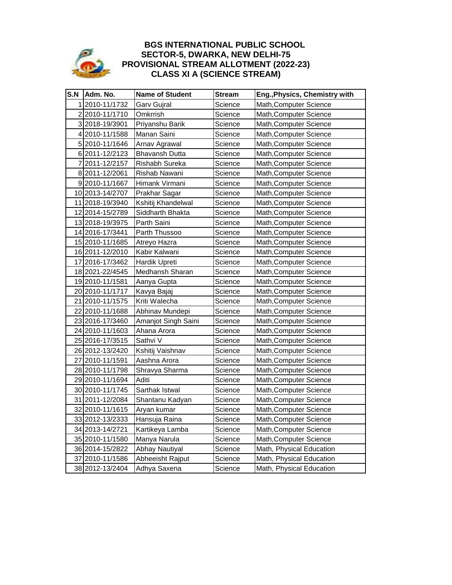

## **BGS INTERNATIONAL PUBLIC SCHOOL SECTOR-5, DWARKA, NEW DELHI-75 PROVISIONAL STREAM ALLOTMENT (2022-23) CLASS XI A (SCIENCE STREAM)**

| S.N | Adm. No.        | <b>Name of Student</b> | <b>Stream</b> | Eng., Physics, Chemistry with |
|-----|-----------------|------------------------|---------------|-------------------------------|
|     | 12010-11/1732   | Garv Gujral            | Science       | Math, Computer Science        |
|     | 22010-11/1710   | Omkrrish               | Science       | Math, Computer Science        |
|     | 3 2018-19/3901  | Priyanshu Barik        | Science       | Math, Computer Science        |
|     | 42010-11/1588   | Manan Saini            | Science       | Math, Computer Science        |
|     | 5 2010-11/1646  | Arnav Agrawal          | Science       | Math, Computer Science        |
|     | 6 2011-12/2123  | <b>Bhavansh Dutta</b>  | Science       | Math, Computer Science        |
|     | 7 2011-12/2157  | Rishabh Sureka         | Science       | Math, Computer Science        |
|     | 8 2011-12/2061  | Rishab Nawani          | Science       | Math, Computer Science        |
|     | 9 2010-11/1667  | Himank Virmani         | Science       | Math, Computer Science        |
|     | 10 2013-14/2707 | Prakhar Sagar          | Science       | Math, Computer Science        |
|     | 11 2018-19/3940 | Kshitij Khandelwal     | Science       | Math, Computer Science        |
|     | 12 2014-15/2789 | Siddharth Bhakta       | Science       | Math, Computer Science        |
|     | 13 2018-19/3975 | Parth Saini            | Science       | Math, Computer Science        |
|     | 14 2016-17/3441 | Parth Thussoo          | Science       | Math, Computer Science        |
|     | 15 2010-11/1685 | Atreyo Hazra           | Science       | Math, Computer Science        |
|     | 16 2011-12/2010 | Kabir Kalwani          | Science       | Math, Computer Science        |
|     | 17 2016-17/3462 | Hardik Upreti          | Science       | Math, Computer Science        |
|     | 18 2021-22/4545 | Medhansh Sharan        | Science       | Math, Computer Science        |
|     | 19 2010-11/1581 | Aanya Gupta            | Science       | Math, Computer Science        |
|     | 20 2010-11/1717 | Kavya Bajaj            | Science       | Math, Computer Science        |
|     | 21 2010-11/1575 | Kriti Walecha          | Science       | Math, Computer Science        |
|     | 22 2010-11/1688 | Abhinav Mundepi        | Science       | Math,Computer Science         |
|     | 23 2016-17/3460 | Amanjot Singh Saini    | Science       | Math, Computer Science        |
|     | 24 2010-11/1603 | Ahana Arora            | Science       | Math, Computer Science        |
|     | 25 2016-17/3515 | Sathvi V               | Science       | Math, Computer Science        |
|     | 26 2012-13/2420 | Kshitij Vaishnav       | Science       | Math, Computer Science        |
|     | 27 2010-11/1591 | Aashna Arora           | Science       | Math, Computer Science        |
|     | 28 2010-11/1798 | Shravya Sharma         | Science       | Math, Computer Science        |
|     | 29 2010-11/1694 | Aditi                  | Science       | Math, Computer Science        |
|     | 30 2010-11/1745 | Sarthak Istwal         | Science       | Math, Computer Science        |
|     | 31 2011-12/2084 | Shantanu Kadyan        | Science       | Math, Computer Science        |
|     | 32 2010-11/1615 | Aryan kumar            | Science       | Math, Computer Science        |
|     | 33 2012-13/2333 | Hansuja Raina          | Science       | Math, Computer Science        |
|     | 34 2013-14/2721 | Kartikeya Lamba        | Science       | Math, Computer Science        |
|     | 35 2010-11/1580 | Manya Narula           | Science       | Math, Computer Science        |
|     | 36 2014-15/2822 | Abhay Nautiyal         | Science       | Math, Physical Education      |
|     | 37 2010-11/1586 | Abheeisht Rajput       | Science       | Math, Physical Education      |
|     | 38 2012-13/2404 | Adhya Saxena           | Science       | Math, Physical Education      |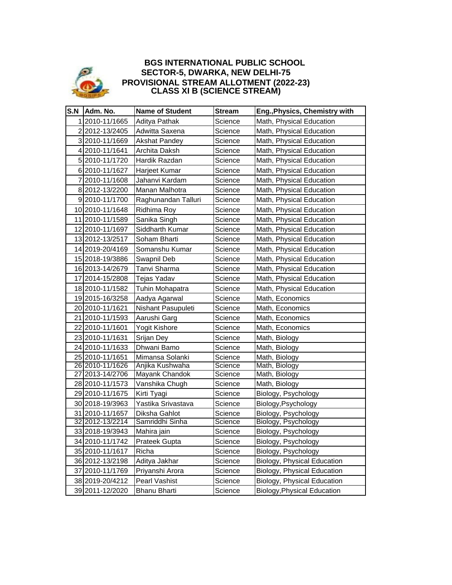

## **SECTOR-5, DWARKA, NEW DELHI-75 PROVISIONAL STREAM ALLOTMENT (2022-23) BGS INTERNATIONAL PUBLIC SCHOOL CLASS XI B (SCIENCE STREAM)**

| S.N | Adm. No.          | <b>Name of Student</b> | Stream  | Eng., Physics, Chemistry with      |
|-----|-------------------|------------------------|---------|------------------------------------|
|     | 2010-11/1665      | Aditya Pathak          | Science | Math, Physical Education           |
|     | 22012-13/2405     | Adwitta Saxena         | Science | Math, Physical Education           |
|     | 3 2010-11/1669    | <b>Akshat Pandey</b>   | Science | Math, Physical Education           |
|     | 4 2010-11/1641    | Archita Daksh          | Science | Math, Physical Education           |
|     | 5 2010-11/1720    | Hardik Razdan          | Science | Math, Physical Education           |
|     | 6 2010-11/1627    | Harjeet Kumar          | Science | Math, Physical Education           |
|     | 72010-11/1608     | Jahanvi Kardam         | Science | Math, Physical Education           |
|     | 8 2012-13/2200    | Manan Malhotra         | Science | Math, Physical Education           |
|     | 92010-11/1700     | Raghunandan Talluri    | Science | Math, Physical Education           |
|     | 10 2010-11/1648   | Ridhima Roy            | Science | Math, Physical Education           |
|     | 11 2010-11/1589   | Sanika Singh           | Science | Math, Physical Education           |
|     | 12 2010-11/1697   | Siddharth Kumar        | Science | Math, Physical Education           |
|     | 13 2012 - 13/2517 | Soham Bharti           | Science | Math, Physical Education           |
|     | 14 2019-20/4169   | Somanshu Kumar         | Science | Math, Physical Education           |
|     | 15 2018-19/3886   | Swapnil Deb            | Science | Math, Physical Education           |
|     | 16 2013-14/2679   | Tanvi Sharma           | Science | Math, Physical Education           |
|     | 17 2014-15/2808   | Tejas Yadav            | Science | Math, Physical Education           |
|     | 18 2010-11/1582   | Tuhin Mohapatra        | Science | Math, Physical Education           |
|     | 19 2015-16/3258   | Aadya Agarwal          | Science | Math, Economics                    |
|     | 20 2010-11/1621   | Nishant Pasupuleti     | Science | Math, Economics                    |
|     | 21 2010-11/1593   | Aarushi Garg           | Science | Math, Economics                    |
|     | 22 2010-11/1601   | Yogit Kishore          | Science | Math, Economics                    |
|     | 23 2010-11/1631   | Srijan Dey             | Science | Math, Biology                      |
|     | 24 2010-11/1633   | Dhwani Bamo            | Science | Math, Biology                      |
|     | 25 2010-11/1651   | Mimansa Solanki        | Science | Math, Biology                      |
|     | 26 2010-11/1626   | Anjika Kushwaha        | Science | Math, Biology                      |
|     | 27 2013-14/2706   | Mayank Chandok         | Science | Math, Biology                      |
|     | 28 2010-11/1573   | Vanshika Chugh         | Science | Math, Biology                      |
|     | 29 2010-11/1675   | Kirti Tyagi            | Science | Biology, Psychology                |
|     | 30 2018-19/3963   | Yastika Srivastava     | Science | Biology, Psychology                |
|     | 31 2010-11/1657   | Diksha Gahlot          | Science | Biology, Psychology                |
|     | 32 2012-13/2214   | Samriddhi Sinha        | Science | Biology, Psychology                |
|     | 33 2018-19/3943   | Mahira jain            | Science | Biology, Psychology                |
|     | 34 2010-11/1742   | Prateek Gupta          | Science | Biology, Psychology                |
|     | 35 2010-11/1617   | Richa                  | Science | Biology, Psychology                |
|     | 36 2012-13/2198   | Aditya Jakhar          | Science | Biology, Physical Education        |
|     | 37 2010-11/1769   | Priyanshi Arora        | Science | Biology, Physical Education        |
|     | 38 2019-20/4212   | Pearl Vashist          | Science | Biology, Physical Education        |
|     | 39 2011-12/2020   | <b>Bhanu Bharti</b>    | Science | <b>Biology, Physical Education</b> |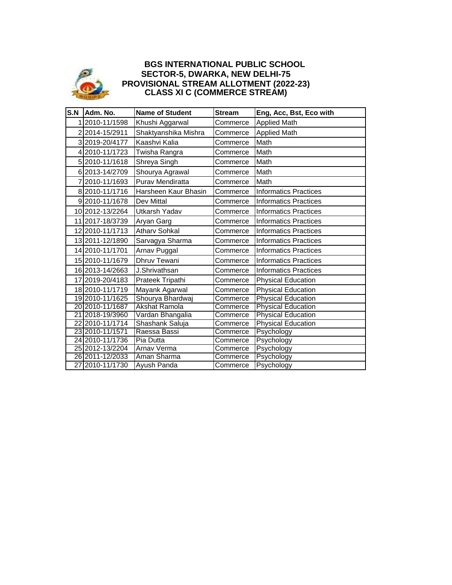

## **BGS INTERNATIONAL PUBLIC SCHOOL SECTOR-5, DWARKA, NEW DELHI-75 PROVISIONAL STREAM ALLOTMENT (2022-23) CLASS XI C (COMMERCE STREAM)**

| S.N | Adm. No.        | <b>Name of Student</b> | <b>Stream</b> | Eng, Acc, Bst, Eco with      |
|-----|-----------------|------------------------|---------------|------------------------------|
| 1   | 2010-11/1598    | Khushi Aggarwal        | Commerce      | <b>Applied Math</b>          |
|     | 2 2014-15/2911  | Shaktyanshika Mishra   | Commerce      | <b>Applied Math</b>          |
|     | 3 2019-20/4177  | Kaashvi Kalia          | Commerce      | Math                         |
|     | 4 2010-11/1723  | Twisha Rangra          | Commerce      | Math                         |
|     | 5 2010-11/1618  | Shreya Singh           | Commerce      | Math                         |
|     | 6 2013-14/2709  | Shourya Agrawal        | Commerce      | Math                         |
|     | 7 2010-11/1693  | Purav Mendiratta       | Commerce      | Math                         |
|     | 8 2010-11/1716  | Harsheen Kaur Bhasin   | Commerce      | <b>Informatics Practices</b> |
|     | 92010-11/1678   | Dev Mittal             | Commerce      | <b>Informatics Practices</b> |
|     | 10 2012-13/2264 | Utkarsh Yadav          | Commerce      | <b>Informatics Practices</b> |
|     | 11 2017-18/3739 | Aryan Garg             | Commerce      | <b>Informatics Practices</b> |
|     | 12 2010-11/1713 | <b>Atharv Sohkal</b>   | Commerce      | <b>Informatics Practices</b> |
|     | 13 2011-12/1890 | Sarvagya Sharma        | Commerce      | <b>Informatics Practices</b> |
|     | 14 2010-11/1701 | Arnav Puggal           | Commerce      | <b>Informatics Practices</b> |
|     | 15 2010-11/1679 | <b>Dhruv Tewani</b>    | Commerce      | <b>Informatics Practices</b> |
|     | 16 2013-14/2663 | J.Shrivathsan          | Commerce      | <b>Informatics Practices</b> |
|     | 17 2019-20/4183 | Prateek Tripathi       | Commerce      | <b>Physical Education</b>    |
|     | 18 2010-11/1719 | Mayank Agarwal         | Commerce      | <b>Physical Education</b>    |
|     | 19 2010-11/1625 | Shourya Bhardwaj       | Commerce      | <b>Physical Education</b>    |
|     | 20 2010-11/1687 | <b>Akshat Ramola</b>   | Commerce      | <b>Physical Education</b>    |
|     | 21 2018-19/3960 | Vardan Bhangalia       | Commerce      | <b>Physical Education</b>    |
|     | 22 2010-11/1714 | Shashank Saluja        | Commerce      | <b>Physical Education</b>    |
|     | 23 2010-11/1571 | Raessa Bassi           | Commerce      | Psychology                   |
|     | 24 2010-11/1736 | Pia Dutta              | Commerce      | Psychology                   |
|     | 25 2012-13/2204 | Arnav Verma            | Commerce      | Psychology                   |
|     | 26 2011-12/2033 | Aman Sharma            | Commerce      | Psychology                   |
|     | 27 2010-11/1730 | Ayush Panda            | Commerce      | Psychology                   |